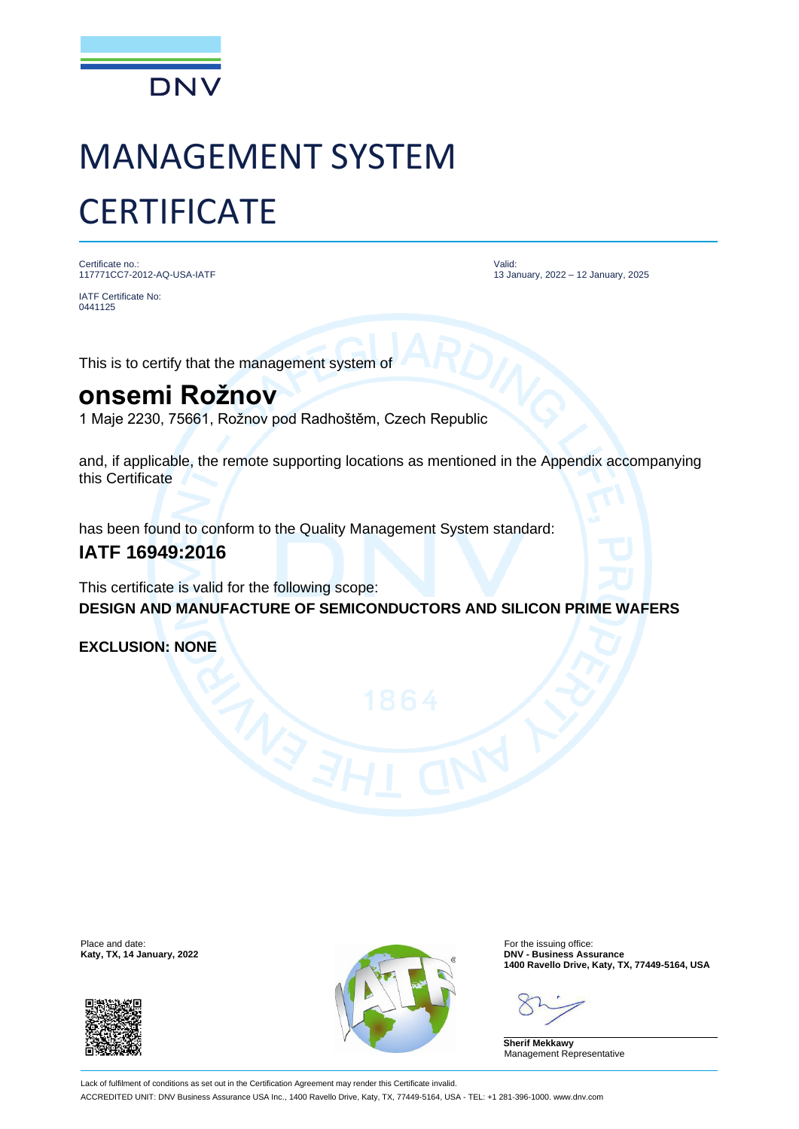

# MANAGEMENT SYSTEM **CERTIFICATE**

Certificate no.: 117771CC7-2012-AQ-USA-IATF

Valid: 13 January, 2022 – 12 January, 2025

0441125

IATF Certificate No:

This is to certify that the management system of

### **onsemi Rožnov**

1 Maje 2230, 75661, Rožnov pod Radhoštěm, Czech Republic

and, if applicable, the remote supporting locations as mentioned in the Appendix accompanying this Certificate

has been found to conform to the Quality Management System standard:

### **IATF 16949:2016**

This certificate is valid for the following scope: **DESIGN AND MANUFACTURE OF SEMICONDUCTORS AND SILICON PRIME WAFERS**

**EXCLUSION: NONE**





**1400 Ravello Drive, Katy, TX, 77449-5164, USA**

**Sherif Mekkawy** Management Representative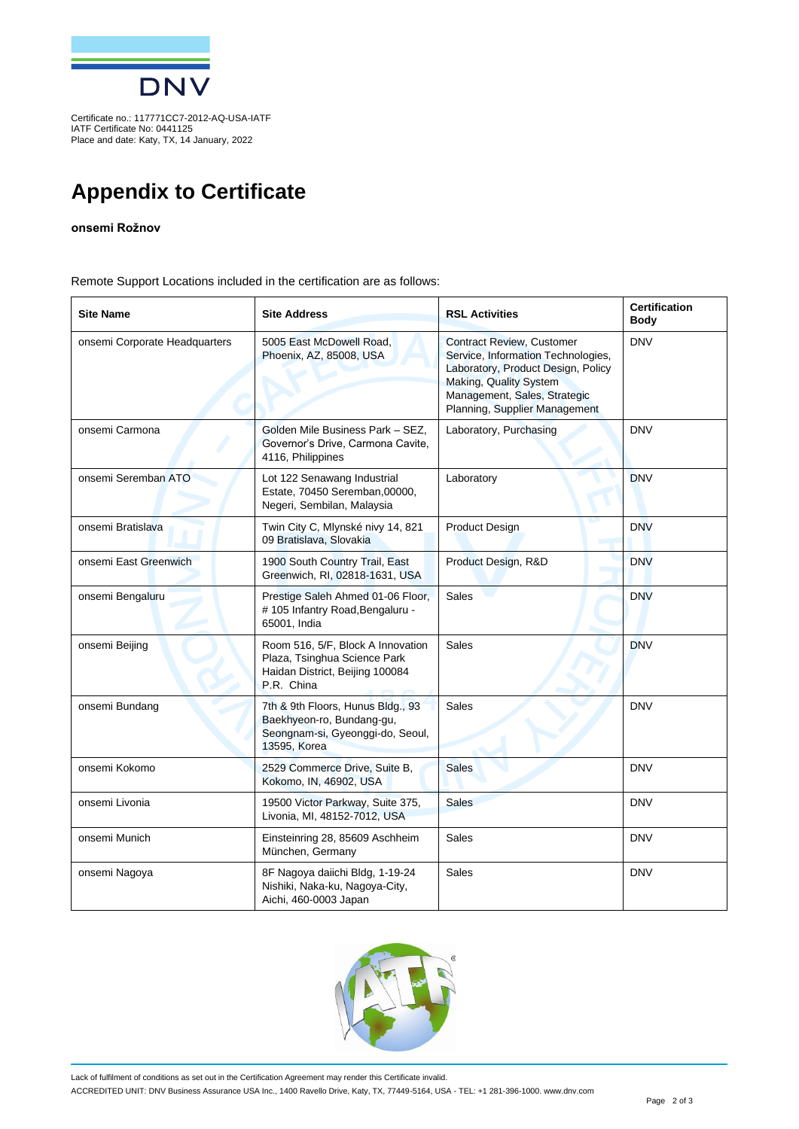

Certificate no.: 117771CC7-2012-AQ-USA-IATF IATF Certificate No: 0441125 Place and date: Katy, TX, 14 January, 2022

## **Appendix to Certificate**

#### **onsemi Rožnov**

Remote Support Locations included in the certification are as follows:

| <b>Site Name</b>              | <b>Site Address</b>                                                                                                | <b>RSL Activities</b>                                                                                                                                                                                   | <b>Certification</b><br><b>Body</b> |
|-------------------------------|--------------------------------------------------------------------------------------------------------------------|---------------------------------------------------------------------------------------------------------------------------------------------------------------------------------------------------------|-------------------------------------|
| onsemi Corporate Headquarters | 5005 East McDowell Road.<br>Phoenix, AZ, 85008, USA                                                                | <b>Contract Review, Customer</b><br>Service, Information Technologies,<br>Laboratory, Product Design, Policy<br>Making, Quality System<br>Management, Sales, Strategic<br>Planning, Supplier Management | <b>DNV</b>                          |
| onsemi Carmona                | Golden Mile Business Park - SEZ,<br>Governor's Drive, Carmona Cavite,<br>4116, Philippines                         | Laboratory, Purchasing                                                                                                                                                                                  | <b>DNV</b>                          |
| onsemi Seremban ATO           | Lot 122 Senawang Industrial<br>Estate, 70450 Seremban, 00000,<br>Negeri, Sembilan, Malaysia                        | Laboratory                                                                                                                                                                                              | <b>DNV</b>                          |
| onsemi Bratislava             | Twin City C, Mlynské nivy 14, 821<br>09 Bratislava, Slovakia                                                       | <b>Product Design</b>                                                                                                                                                                                   | <b>DNV</b>                          |
| onsemi East Greenwich         | 1900 South Country Trail, East<br>Greenwich, RI, 02818-1631, USA                                                   | Product Design, R&D                                                                                                                                                                                     | <b>DNV</b>                          |
| onsemi Bengaluru              | Prestige Saleh Ahmed 01-06 Floor,<br># 105 Infantry Road, Bengaluru -<br>65001, India                              | Sales                                                                                                                                                                                                   | <b>DNV</b>                          |
| onsemi Beijing                | Room 516, 5/F, Block A Innovation<br>Plaza, Tsinghua Science Park<br>Haidan District, Beijing 100084<br>P.R. China | <b>Sales</b>                                                                                                                                                                                            | <b>DNV</b>                          |
| onsemi Bundang                | 7th & 9th Floors, Hunus Bldg., 93<br>Baekhyeon-ro, Bundang-gu,<br>Seongnam-si, Gyeonggi-do, Seoul,<br>13595, Korea | <b>Sales</b>                                                                                                                                                                                            | <b>DNV</b>                          |
| onsemi Kokomo                 | 2529 Commerce Drive, Suite B,<br>Kokomo, IN, 46902, USA                                                            | <b>Sales</b>                                                                                                                                                                                            | <b>DNV</b>                          |
| onsemi Livonia                | 19500 Victor Parkway, Suite 375,<br>Livonia, MI, 48152-7012, USA                                                   | <b>Sales</b>                                                                                                                                                                                            | <b>DNV</b>                          |
| onsemi Munich                 | Einsteinring 28, 85609 Aschheim<br>München, Germany                                                                | Sales                                                                                                                                                                                                   | <b>DNV</b>                          |
| onsemi Nagoya                 | 8F Nagoya daiichi Bldg, 1-19-24<br>Nishiki, Naka-ku, Nagoya-City,<br>Aichi, 460-0003 Japan                         | Sales                                                                                                                                                                                                   | <b>DNV</b>                          |



Lack of fulfilment of conditions as set out in the Certification Agreement may render this Certificate invalid. ACCREDITED UNIT: DNV Business Assurance USA Inc., 1400 Ravello Drive, Katy, TX, 77449-5164, USA - TEL: +1 281-396-1000. www.dnv.com